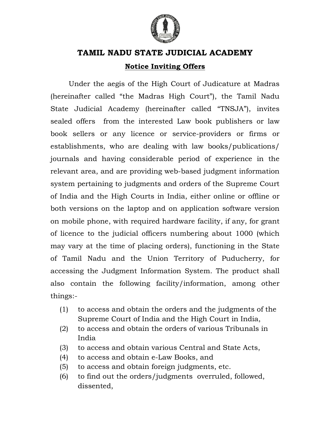

# **TAMIL NADU STATE JUDICIAL ACADEMY TAMIL JUDICIAL Notice Notice Inviting Offers**

Under the aegis of the High Court of Judicature at Madras (hereinafter called "the Madras High Court") he Court"), the Tamil Nadu State Judicial Academy (hereinafter called "TNSJA"), invites sealed offers from the interested Law book publishers or law sealed offers from the interested Law book publishers or law<br>book sellers or any licence or service-providers or firms or establishments, who are dealing with law books/publications/ journals and having considerable period of experience in the relevant area, and are providing web-based judgment information system pertaining to judgments and orders of the Supreme C system pertaining to judgments and orders of the Supreme Court<br>of India and the High Courts in India, either online or offline or both versions on the laptop and on application software version on mobile phone, with required hardware facility, if any, for<br>of licence to the judicial officers numbering about 1000 ( of licence to the judicial officers numbering about 1000 (which may vary at the time of placing orders), functioning in the State of Tamil Nadu and the Union Territory of Puducherry Puducherry, for accessing the Judgment Information System. The product shall also contain the following facility/information, among other things: ournals and having considerable period of experience in the<br>elevant area, and are providing web-based judgment information<br>ystem pertaining to judgments and orders of the Supreme Court both versions on the laptop and on application software version<br>on mobile phone, with required hardware facility, if any, for grant

- $(1)$  to access and obtain the orders and the judgments of the Supreme Court of India and the High Court in India, to access and obtain the orders and the judgments of the<br>Supreme Court of India and the High Court in India,<br>to access and obtain the orders of various Tribunals in
- (2) to access and obtain the orders of various Tribunals in India Supreme Court of India and the High Court in India,<br>to access and obtain the orders of various Tribunals<br>India<br>to access and obtain various Central and State Acts,<br>to access and obtain e-Law Books, and
- (3) to access and obtain various Central and State Acts,
- (4) to access and obtain e
- (5) to access and obtain foreign judgments, etc.
- (6) to find out the orders/judgments overruled, followed, dissented,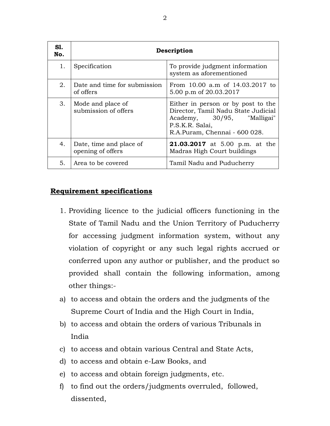| S1.<br>No. | Description                                  |                                                                                                                                                             |  |
|------------|----------------------------------------------|-------------------------------------------------------------------------------------------------------------------------------------------------------------|--|
| 1.         | Specification                                | To provide judgment information<br>system as aforementioned                                                                                                 |  |
| 2.         | Date and time for submission<br>of offers    | From 10.00 a.m of 14.03.2017 to<br>5.00 p.m of 20.03.2017                                                                                                   |  |
| 3.         | Mode and place of<br>submission of offers    | Either in person or by post to the<br>Director, Tamil Nadu State Judicial<br>Academy, 30/95, "Malligai"<br>P.S.K.R. Salai,<br>R.A.Puram, Chennai - 600 028. |  |
| 4.         | Date, time and place of<br>opening of offers | <b>21.03.2017</b> at 5.00 p.m. at the<br>Madras High Court buildings                                                                                        |  |
| 5.         | Area to be covered                           | Tamil Nadu and Puducherry                                                                                                                                   |  |

#### **Requirement specifications**

- 1. Providing licence to the judicial officers functioning in the State of Tamil Nadu and the Union Territory of Puducherry for accessing judgment information system, without any violation of copyright or any such legal rights accrued or conferred upon any author or publisher, and the product so provided shall contain the following information, among other things:-
- a) to access and obtain the orders and the judgments of the Supreme Court of India and the High Court in India,
- b) to access and obtain the orders of various Tribunals in India
- c) to access and obtain various Central and State Acts,
- d) to access and obtain e-Law Books, and
- e) to access and obtain foreign judgments, etc.
- f) to find out the orders/judgments overruled, followed, dissented,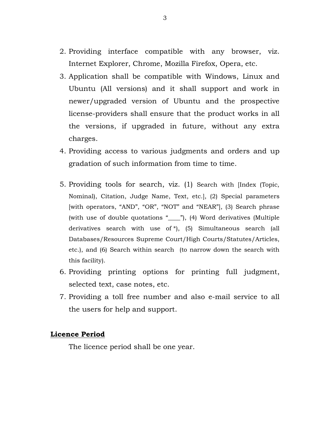- 2. Providing interface compatible with any browser, viz. Internet Explorer, Chrome, Mozilla Firefox, Opera, etc.
- 3. Application shall be compatible with Windows, Linux and Ubuntu (All versions) and it shall support and work in newer/upgraded version of Ubuntu and the prospective license-providers shall ensure that the product works in all the versions, if upgraded in future, without any extra charges.
- 4. Providing access to various judgments and orders and up gradation of such information from time to time.
- 5. Providing tools for search, viz. (1) Search with [Index (Topic, Nominal), Citation, Judge Name, Text, etc.], (2) Special parameters [with operators, "AND", "OR", "NOT" and "NEAR"], (3) Search phrase (with use of double quotations "\_\_\_\_"), (4) Word derivatives (Multiple derivatives search with use of \*), (5) Simultaneous search (all Databases/Resources Supreme Court/High Courts/Statutes/Articles, etc.), and (6) Search within search (to narrow down the search with this facility).
- 6. Providing printing options for printing full judgment, selected text, case notes, etc.
- 7. Providing a toll free number and also e-mail service to all the users for help and support.

#### **Licence Period**

The licence period shall be one year.

3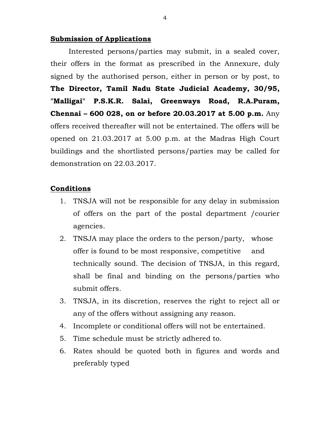#### **Submission of Applications**

Interested persons/parties may submit, in a sealed cover, their offers in the format as prescribed in the Annexure, duly signed by the authorised person, either in person or by post, to **The Director, Tamil Nadu State Judicial Academy, 30/95, "Malligai" P.S.K.R. Salai, Greenways Road, R.A.Puram, Chennai – 600 028, on or before 20.03.2017 at 5.00 p.m.** Any offers received thereafter will not be entertained. The offers will be opened on 21.03.2017 at 5.00 p.m. at the Madras High Court buildings and the shortlisted persons/parties may be called for demonstration on 22.03.2017.

#### **Conditions**

- 1. TNSJA will not be responsible for any delay in submission of offers on the part of the postal department /courier agencies.
- 2. TNSJA may place the orders to the person/party, whose offer is found to be most responsive, competitive and technically sound. The decision of TNSJA, in this regard, shall be final and binding on the persons/parties who submit offers.
- 3. TNSJA, in its discretion, reserves the right to reject all or any of the offers without assigning any reason.
- 4. Incomplete or conditional offers will not be entertained.
- 5. Time schedule must be strictly adhered to.
- 6. Rates should be quoted both in figures and words and preferably typed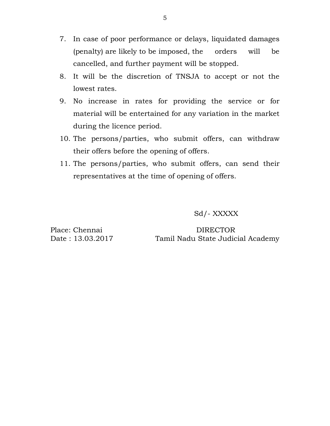- 7. In case of poor performance or delays, liquidated damages (penalty) are likely to be imposed, the orders will be cancelled, and further payment will be stopped.
- 8. It will be the discretion of TNSJA to accept or not the lowest rates.
- 9. No increase in rates for providing the service or for material will be entertained for any variation in the market during the licence period.
- 10. The persons/parties, who submit offers, can withdraw their offers before the opening of offers.
- 11. The persons/parties, who submit offers, can send their representatives at the time of opening of offers.

Sd/- XXXXX

Place: Chennai DIRECTOR Date : 13.03.2017 Tamil Nadu State Judicial Academy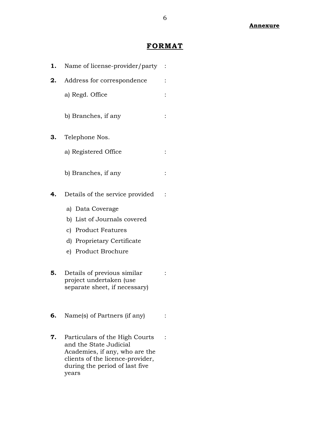### **FORMAT**

| 1. | Name of license-provider/party                                                                                                                                            |  |
|----|---------------------------------------------------------------------------------------------------------------------------------------------------------------------------|--|
| 2. | Address for correspondence                                                                                                                                                |  |
|    | a) Regd. Office                                                                                                                                                           |  |
|    | b) Branches, if any                                                                                                                                                       |  |
| З. | Telephone Nos.                                                                                                                                                            |  |
|    | a) Registered Office                                                                                                                                                      |  |
|    | b) Branches, if any                                                                                                                                                       |  |
| 4. | Details of the service provided                                                                                                                                           |  |
|    | a) Data Coverage                                                                                                                                                          |  |
|    | b) List of Journals covered                                                                                                                                               |  |
|    | c) Product Features                                                                                                                                                       |  |
|    | d) Proprietary Certificate                                                                                                                                                |  |
|    | e) Product Brochure                                                                                                                                                       |  |
| 5. | Details of previous similar<br>project undertaken (use<br>separate sheet, if necessary)                                                                                   |  |
| 6. | Name(s) of Partners (if any)                                                                                                                                              |  |
| 7. | Particulars of the High Courts<br>and the State Judicial<br>Academies, if any, who are the<br>clients of the licence-provider,<br>during the period of last five<br>years |  |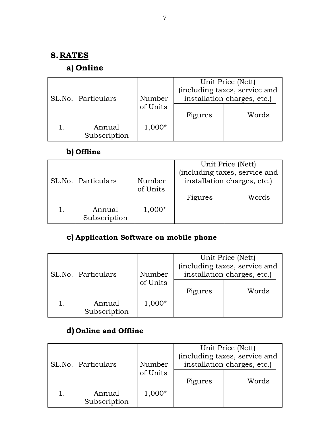### **8.RATES**

### **a) Online**

| SL.No.   Particulars   | Number   | Unit Price (Nett)<br>(including taxes, service and<br>installation charges, etc.) |       |
|------------------------|----------|-----------------------------------------------------------------------------------|-------|
|                        | of Units | Figures                                                                           | Words |
| Annual<br>Subscription | 1,000*   |                                                                                   |       |

## **b) Offline**

| SL.No.   Particulars   | Number   | Unit Price (Nett)<br>(including taxes, service and<br>installation charges, etc.) |       |
|------------------------|----------|-----------------------------------------------------------------------------------|-------|
|                        | of Units | Figures                                                                           | Words |
| Annual<br>Subscription | $1,000*$ |                                                                                   |       |

# **c) Application Software on mobile phone**

| SL.No.   Particulars   | Number   | Unit Price (Nett)<br>(including taxes, service and<br>installation charges, etc.) |       |
|------------------------|----------|-----------------------------------------------------------------------------------|-------|
|                        | of Units | Figures                                                                           | Words |
| Annual<br>Subscription | $1,000*$ |                                                                                   |       |

## **d) Online and Offline**

| SL.No.   Particulars   | Number   | Unit Price (Nett)<br>(including taxes, service and<br>installation charges, etc.) |       |
|------------------------|----------|-----------------------------------------------------------------------------------|-------|
|                        | of Units | Figures                                                                           | Words |
| Annual<br>Subscription | 1,000*   |                                                                                   |       |